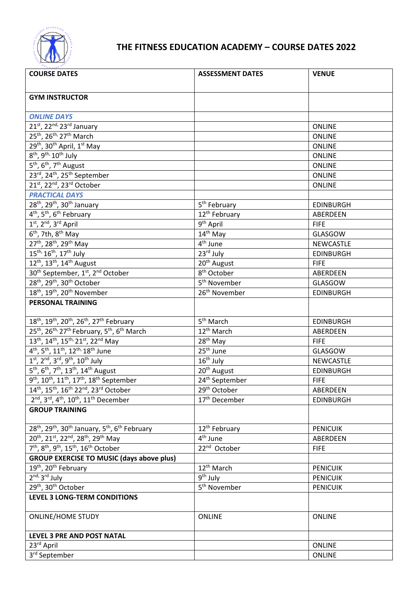

## **THE FITNESS EDUCATION ACADEMY – COURSE DATES 2022**

| <b>COURSE DATES</b>                                                                                        | <b>ASSESSMENT DATES</b>    | <b>VENUE</b>     |
|------------------------------------------------------------------------------------------------------------|----------------------------|------------------|
|                                                                                                            |                            |                  |
| <b>GYM INSTRUCTOR</b>                                                                                      |                            |                  |
|                                                                                                            |                            |                  |
| <b>ONLINE DAYS</b>                                                                                         |                            |                  |
| $21^{st}$ , 22 <sup>nd,</sup> 23 <sup>rd</sup> January                                                     |                            | <b>ONLINE</b>    |
| 25 <sup>th</sup> , 26 <sup>th,</sup> 27 <sup>th</sup> March                                                |                            | <b>ONLINE</b>    |
| 29 <sup>th</sup> , 30 <sup>th</sup> April, 1 <sup>st</sup> May                                             |                            | <b>ONLINE</b>    |
| $8^{\text{th}}$ , 9 <sup>th,</sup> 10 <sup>th</sup> July                                                   |                            | <b>ONLINE</b>    |
| 5 <sup>th</sup> , 6 <sup>th</sup> , 7 <sup>th</sup> August                                                 |                            | <b>ONLINE</b>    |
| 23rd, 24 <sup>th</sup> , 25 <sup>th</sup> September                                                        |                            | <b>ONLINE</b>    |
| 21st, 22nd, 23rd October                                                                                   |                            | <b>ONLINE</b>    |
| <b>PRACTICAL DAYS</b>                                                                                      |                            |                  |
| $28th$ , $29th$ , $30th$ January                                                                           | 5 <sup>th</sup> February   | <b>EDINBURGH</b> |
| 4 <sup>th</sup> , 5 <sup>th</sup> , 6 <sup>th</sup> February                                               | 12 <sup>th</sup> February  | ABERDEEN         |
| $1st$ , $2nd$ , $3rd$ April                                                                                | 9 <sup>th</sup> April      | <b>FIFE</b>      |
| $6th$ , 7th, $8th$ May                                                                                     | 14 <sup>th</sup> May       | GLASGOW          |
| 27 <sup>th</sup> , 28 <sup>th</sup> , 29 <sup>th</sup> May                                                 | 4 <sup>th</sup> June       | <b>NEWCASTLE</b> |
| 15 <sup>th,</sup> 16 <sup>th</sup> , 17 <sup>th</sup> July                                                 | 23rd July                  | <b>EDINBURGH</b> |
| $12^{th}$ , 13 <sup>th</sup> , 14 <sup>th</sup> August                                                     | 20 <sup>th</sup> August    | <b>FIFE</b>      |
| 30 <sup>th</sup> September, 1st, 2 <sup>nd</sup> October                                                   | 8 <sup>th</sup> October    | ABERDEEN         |
| 28 <sup>th</sup> , 29 <sup>th</sup> , 30 <sup>th</sup> October                                             | 5 <sup>th</sup> November   | GLASGOW          |
| 18 <sup>th</sup> , 19 <sup>th</sup> , 20 <sup>th</sup> November                                            | 26 <sup>th</sup> November  | <b>EDINBURGH</b> |
| <b>PERSONAL TRAINING</b>                                                                                   |                            |                  |
|                                                                                                            |                            |                  |
| $18^{th}$ , $19^{th}$ , $20^{th}$ , $26^{th}$ , $27^{th}$ February                                         | 5 <sup>th</sup> March      | <b>EDINBURGH</b> |
| 25 <sup>th</sup> , 26 <sup>th,</sup> 27 <sup>th</sup> February, 5 <sup>th</sup> , 6 <sup>th</sup> March    | 12 <sup>th</sup> March     | ABERDEEN         |
| 13 <sup>th</sup> , 14 <sup>th</sup> , 15 <sup>th,</sup> 21st, 22 <sup>nd</sup> May                         | 28 <sup>th</sup> May       | <b>FIFE</b>      |
| 4 <sup>th</sup> , 5 <sup>th</sup> , 11 <sup>th</sup> , 12 <sup>th,</sup> 18 <sup>th</sup> June             | 25 <sup>th</sup> June      | GLASGOW          |
| $1^{st}$ , $2^{nd}$ , $3^{rd}$ , $9^{th}$ , $10^{th}$ July                                                 | 16 <sup>th</sup> July      | NEWCASTLE        |
| 5 <sup>th</sup> , 6 <sup>th</sup> , 7 <sup>th</sup> , 13 <sup>th</sup> , 14 <sup>th</sup> August           | 20 <sup>th</sup> August    | <b>EDINBURGH</b> |
| 9 <sup>th</sup> , 10 <sup>th</sup> , 11 <sup>th</sup> , 17 <sup>th</sup> , 18 <sup>th</sup> September      | $24^{\text{th}}$ September | <b>FIFE</b>      |
| 14th, 15th, 16th 22nd, 23rd October                                                                        | 29 <sup>th</sup> October   | ABERDEEN         |
| 2 <sup>nd</sup> , 3 <sup>rd</sup> , 4 <sup>th</sup> , 10 <sup>th</sup> , 11 <sup>th</sup> December         | 17 <sup>th</sup> December  | <b>EDINBURGH</b> |
| <b>GROUP TRAINING</b>                                                                                      |                            |                  |
|                                                                                                            |                            |                  |
| 28 <sup>th</sup> , 29 <sup>th</sup> , 30 <sup>th</sup> January, 5 <sup>th</sup> , 6 <sup>th</sup> February | 12 <sup>th</sup> February  | <b>PENICUIK</b>  |
| 20 <sup>th</sup> , 21 <sup>st</sup> , 22 <sup>nd</sup> , 28 <sup>th</sup> , 29 <sup>th</sup> May           | 4 <sup>th</sup> June       | ABERDEEN         |
| $7th$ , $8th$ , $9th$ , $15th$ , $16th$ October                                                            | 22 <sup>nd</sup> October   | <b>FIFE</b>      |
| <b>GROUP EXERCISE TO MUSIC (days above plus)</b>                                                           |                            |                  |
| 19 <sup>th</sup> , 20 <sup>th</sup> February                                                               | 12 <sup>th</sup> March     | <b>PENICUIK</b>  |
| $2^{nd}$ , $3^{rd}$ July                                                                                   | 9 <sup>th</sup> July       | <b>PENICUIK</b>  |
| 29th, 30th October                                                                                         | 5 <sup>th</sup> November   | <b>PENICUIK</b>  |
| LEVEL 3 LONG-TERM CONDITIONS                                                                               |                            |                  |
| <b>ONLINE/HOME STUDY</b>                                                                                   | <b>ONLINE</b>              | <b>ONLINE</b>    |
| LEVEL 3 PRE AND POST NATAL                                                                                 |                            |                  |
| 23rd April                                                                                                 |                            | ONLINE           |
| 3rd September                                                                                              |                            | <b>ONLINE</b>    |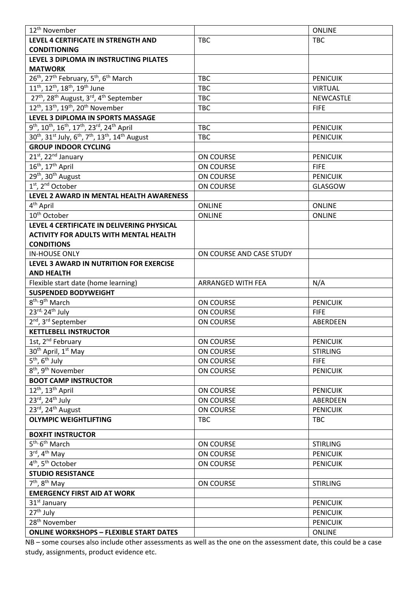| 12 <sup>th</sup> November                                                                                                |                          | <b>ONLINE</b>    |
|--------------------------------------------------------------------------------------------------------------------------|--------------------------|------------------|
| LEVEL 4 CERTIFICATE IN STRENGTH AND                                                                                      | <b>TBC</b>               | <b>TBC</b>       |
| <b>CONDITIONING</b>                                                                                                      |                          |                  |
| LEVEL 3 DIPLOMA IN INSTRUCTING PILATES                                                                                   |                          |                  |
| <b>MATWORK</b>                                                                                                           |                          |                  |
| 26 <sup>th</sup> , 27 <sup>th</sup> February, 5 <sup>th</sup> , 6 <sup>th</sup> March                                    | <b>TBC</b>               | <b>PENICUIK</b>  |
| 11 <sup>th</sup> , 12 <sup>th</sup> , 18 <sup>th</sup> , 19 <sup>th</sup> June                                           | <b>TBC</b>               | <b>VIRTUAL</b>   |
| 27 <sup>th</sup> , 28 <sup>th</sup> August, 3 <sup>rd</sup> , 4 <sup>th</sup> September                                  | <b>TBC</b>               | <b>NEWCASTLE</b> |
| 12 <sup>th</sup> , 13 <sup>th</sup> , 19 <sup>th</sup> , 20 <sup>th</sup> November                                       | <b>TBC</b>               | <b>FIFE</b>      |
| LEVEL 3 DIPLOMA IN SPORTS MASSAGE                                                                                        |                          |                  |
| 9 <sup>th</sup> , 10 <sup>th</sup> , 16 <sup>th</sup> , 17 <sup>th</sup> , 23 <sup>rd</sup> , 24 <sup>th</sup> April     | <b>TBC</b>               | <b>PENICUIK</b>  |
| 30 <sup>th</sup> , 31 <sup>st</sup> July, 6 <sup>th</sup> , 7 <sup>th</sup> , 13 <sup>th</sup> , 14 <sup>th</sup> August | <b>TBC</b>               | <b>PENICUIK</b>  |
| <b>GROUP INDOOR CYCLING</b>                                                                                              |                          |                  |
| 21st, 22 <sup>nd</sup> January                                                                                           | ON COURSE                | <b>PENICUIK</b>  |
| 16 <sup>th</sup> , 17 <sup>th</sup> April                                                                                | ON COURSE                | <b>FIFE</b>      |
| 29 <sup>th</sup> , 30 <sup>th</sup> August                                                                               | ON COURSE                | <b>PENICUIK</b>  |
| 1 <sup>st</sup> , 2 <sup>nd</sup> October                                                                                | ON COURSE                | GLASGOW          |
| LEVEL 2 AWARD IN MENTAL HEALTH AWARENESS                                                                                 |                          |                  |
| 4 <sup>th</sup> April                                                                                                    | <b>ONLINE</b>            | <b>ONLINE</b>    |
| 10 <sup>th</sup> October                                                                                                 | <b>ONLINE</b>            | <b>ONLINE</b>    |
| LEVEL 4 CERTIFICATE IN DELIVERING PHYSICAL                                                                               |                          |                  |
| <b>ACTIVITY FOR ADULTS WITH MENTAL HEALTH</b>                                                                            |                          |                  |
| <b>CONDITIONS</b>                                                                                                        |                          |                  |
| <b>IN-HOUSE ONLY</b>                                                                                                     | ON COURSE AND CASE STUDY |                  |
| LEVEL 3 AWARD IN NUTRITION FOR EXERCISE                                                                                  |                          |                  |
| <b>AND HEALTH</b>                                                                                                        |                          |                  |
| Flexible start date (home learning)                                                                                      | ARRANGED WITH FEA        | N/A              |
| <b>SUSPENDED BODYWEIGHT</b>                                                                                              |                          |                  |
| 8 <sup>th, 9th</sup> March                                                                                               | ON COURSE                | <b>PENICUIK</b>  |
| $23^{\text{rd}}$ , $24^{\text{th}}$ July                                                                                 | ON COURSE                | <b>FIFE</b>      |
| 2 <sup>nd</sup> , 3 <sup>rd</sup> September                                                                              | ON COURSE                | ABERDEEN         |
| <b>KETTLEBELL INSTRUCTOR</b>                                                                                             |                          |                  |
| 1st, 2 <sup>nd</sup> February                                                                                            | ON COURSE                | <b>PENICUIK</b>  |
| 30 <sup>th</sup> April, 1 <sup>st</sup> May                                                                              | ON COURSE                | <b>STIRLING</b>  |
| $5th$ , 6 <sup>th</sup> July                                                                                             | ON COURSE                | <b>FIFE</b>      |
| $\overline{8^{th}}$ , 9 <sup>th</sup> November                                                                           | ON COURSE                | <b>PENICUIK</b>  |
| <b>BOOT CAMP INSTRUCTOR</b>                                                                                              |                          |                  |
| 12 <sup>th</sup> , 13 <sup>th</sup> April                                                                                | ON COURSE                | <b>PENICUIK</b>  |
| $23^{\text{rd}}$ , $24^{\text{th}}$ July                                                                                 | ON COURSE                | ABERDEEN         |
| 23rd, 24 <sup>th</sup> August                                                                                            | ON COURSE                | <b>PENICUIK</b>  |
| <b>OLYMPIC WEIGHTLIFTING</b>                                                                                             | <b>TBC</b>               | <b>TBC</b>       |
|                                                                                                                          |                          |                  |
| <b>BOXFIT INSTRUCTOR</b>                                                                                                 |                          |                  |
| 5 <sup>th,</sup> 6 <sup>th</sup> March                                                                                   | ON COURSE                | <b>STIRLING</b>  |
| $3^{\text{rd}}$ , $4^{\text{th}}$ May                                                                                    | ON COURSE                | <b>PENICUIK</b>  |
| $4th$ , 5 <sup>th</sup> October                                                                                          | ON COURSE                | <b>PENICUIK</b>  |
| <b>STUDIO RESISTANCE</b>                                                                                                 |                          |                  |
| $7th$ , 8 <sup>th</sup> May                                                                                              | ON COURSE                | <b>STIRLING</b>  |
| <b>EMERGENCY FIRST AID AT WORK</b>                                                                                       |                          |                  |
| 31 <sup>st</sup> January                                                                                                 |                          | <b>PENICUIK</b>  |
| 27 <sup>th</sup> July                                                                                                    |                          | <b>PENICUIK</b>  |
| 28 <sup>th</sup> November                                                                                                |                          | <b>PENICUIK</b>  |
| <b>ONLINE WORKSHOPS - FLEXIBLE START DATES</b>                                                                           |                          | ONLINE           |

NB – some courses also include other assessments as well as the one on the assessment date, this could be a case study, assignments, product evidence etc.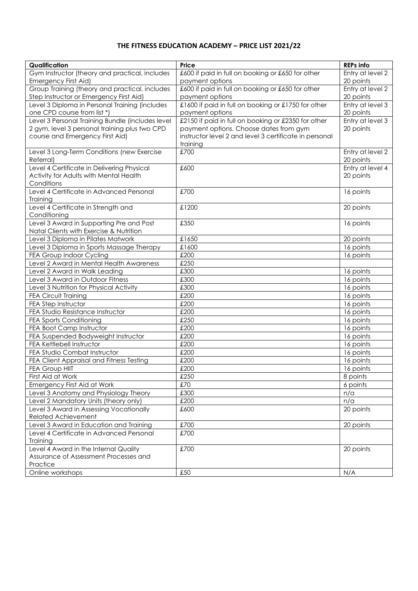## **THE FITNESS EDUCATION ACADEMY – PRICE LIST 2021/22**

| Qualification                                        | Price                                                  | <b>REPs info</b> |
|------------------------------------------------------|--------------------------------------------------------|------------------|
| Gym Instructor (theory and practical, includes       | £600 if paid in full on booking or £650 for other      | Entry at level 2 |
| Emergency First Aid)                                 | payment options                                        | 20 points        |
| Group Training (theory and practical, includes       | £600 if paid in full on booking or £650 for other      | Entry at level 2 |
| Step Instructor or Emergency First Aid)              | payment options                                        | 20 points        |
| Level 3 Diploma in Personal Training (includes       | £1600 if paid in full on booking or £1750 for other    | Entry at level 3 |
| one CPD course from list *)                          | payment options                                        | 20 points        |
| Level 3 Personal Training Bundle (includes level     | £2150 if paid in full on booking or £2350 for other    | Entry at level 3 |
| 2 gym, level 3 personal training plus two CPD        | payment options. Choose dates from gym                 | 20 points        |
| course and Emergency First Aid)                      | instructor level 2 and level 3 certificate in personal |                  |
|                                                      | training                                               |                  |
| Level 3 Long-Term Conditions (new Exercise           | £700                                                   | Entry at level 2 |
| Referral)                                            |                                                        | 20 points        |
| Level 4 Certificate in Delivering Physical           | £600                                                   | Entry at level 4 |
| Activity for Adults with Mental Health               |                                                        | 20 points        |
| Conditions                                           |                                                        |                  |
| Level 4 Certificate in Advanced Personal<br>Training | £700                                                   | 16 points        |
| Level 4 Certificate in Strength and                  | £1200                                                  | 20 points        |
| Conditioning                                         |                                                        |                  |
| Level 3 Award in Supporting Pre and Post             | £350                                                   | 16 points        |
| Natal Clients with Exercise & Nutrition              |                                                        |                  |
| Level 3 Diploma in Pilates Matwork                   | £1650                                                  | 20 points        |
| Level 3 Diploma in Sports Massage Therapy            | £1600                                                  | 16 points        |
| FEA Group Indoor Cycling                             | £200                                                   | 16 points        |
| Level 2 Award in Mental Health Awareness             | £250                                                   |                  |
| Level 2 Award in Walk Leading                        | £300                                                   | 16 points        |
| Level 3 Award in Outdoor Fitness                     | £300                                                   | 16 points        |
| Level 3 Nutrition for Physical Activity              | £300                                                   | 16 points        |
| <b>FEA Circuit Training</b>                          | £200                                                   | 16 points        |
| FEA Step Instructor                                  | £200                                                   | 16 points        |
| FEA Studio Resistance Instructor                     | £200                                                   | 16 points        |
| FEA Sports Conditioning                              | £250                                                   | 16 points        |
| FEA Boot Camp Instructor                             | £200                                                   | 16 points        |
| FEA Suspended Bodyweight Instructor                  | £200                                                   | 16 points        |
| FEA Kettlebell Instructor                            | £200                                                   | 16 points        |
| FEA Studio Combat Instructor                         | £200                                                   | 16 points        |
| FEA Client Appraisal and Fitness Testing             | £200                                                   | 16 points        |
| <b>FEA Group HIIT</b>                                | £200                                                   | 16 points        |
| First Aid at Work                                    | £250                                                   | 8 points         |
| Emergency First Aid at Work                          | £70                                                    | 6 points         |
| Level 3 Anatomy and Physiology Theory                | £300                                                   | n/a              |
| Level 2 Mandatory Units (theory only)                | £200                                                   | n/a              |
| Level 3 Award in Assessing Vocationally              | £600                                                   | 20 points        |
| <b>Related Achievement</b>                           |                                                        |                  |
| Level 3 Award in Education and Training              | £700                                                   | 20 points        |
| Level 4 Certificate in Advanced Personal             | £700                                                   |                  |
| Training                                             |                                                        |                  |
| Level 4 Award in the Internal Quality                | £700                                                   | 20 points        |
| Assurance of Assessment Processes and<br>Practice    |                                                        |                  |
| Online workshops                                     | £50                                                    | N/A              |
|                                                      |                                                        |                  |